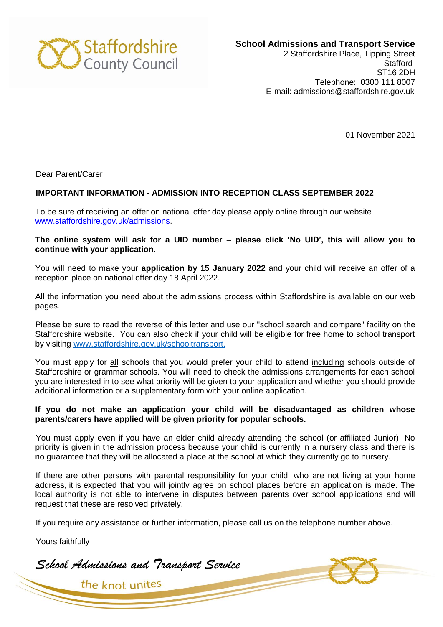

**School Admissions and Transport Service** 

2 Staffordshire Place, Tipping Street **Stafford** ST16 2DH Telephone: 0300 111 8007 E-mail: admissions@staffordshire.gov.uk

01 November 2021

Dear Parent/Carer

## **IMPORTANT INFORMATION - ADMISSION INTO RECEPTION CLASS SEPTEMBER 2022**

To be sure of receiving an offer on national offer day please apply online through our website [www.staffordshire.gov.uk/admissions.](http://www.staffordshire.gov.uk/admissions)

**The online system will ask for a UID number – please click 'No UID', this will allow you to continue with your application.**

You will need to make your **application by 15 January 2022** and your child will receive an offer of a reception place on national offer day 18 April 2022.

All the information you need about the admissions process within Staffordshire is available on our web pages.

Please be sure to read the reverse of this letter and use our "school search and compare" facility on the Staffordshire website. You can also check if your child will be eligible for free home to school transport by visiting [www.staffordshire.gov.uk/schooltransport.](http://www.staffordshire.gov.uk/schooltransport)

You must apply for all schools that you would prefer your child to attend including schools outside of Staffordshire or grammar schools. You will need to check the admissions arrangements for each school you are interested in to see what priority will be given to your application and whether you should provide additional information or a supplementary form with your online application.

## **If you do not make an application your child will be disadvantaged as children whose parents/carers have applied will be given priority for popular schools.**

You must apply even if you have an elder child already attending the school (or affiliated Junior). No priority is given in the admission process because your child is currently in a nursery class and there is no guarantee that they will be allocated a place at the school at which they currently go to nursery.

If there are other persons with parental responsibility for your child, who are not living at your home address, it is expected that you will jointly agree on school places before an application is made. The local authority is not able to intervene in disputes between parents over school applications and will request that these are resolved privately.

If you require any assistance or further information, please call us on the telephone number above.

Yours faithfully

*School Admissions and Transport Service*

the knot unites